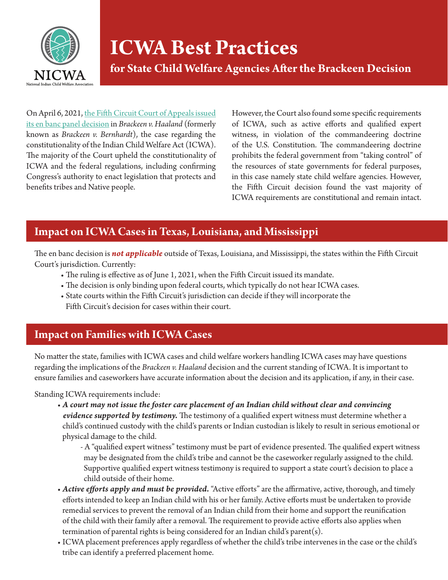

# **ICWA Best Practices**

**for State Child Welfare Agencies After the Brackeen Decision**

On April 6, 2021, [the Fifth Circuit Court of Appeals issued](https://www.nicwa.org/wp-content/uploads/2021/06/2021.04.06-OPINION-of-en-banc-court.pdf) [its en banc panel decision](https://www.nicwa.org/wp-content/uploads/2021/06/2021.04.06-OPINION-of-en-banc-court.pdf) in *Brackeen v. Haaland* (formerly known as *Brackeen v. Bernhardt*), the case regarding the constitutionality of the Indian Child Welfare Act (ICWA). The majority of the Court upheld the constitutionality of ICWA and the federal regulations, including confirming Congress's authority to enact legislation that protects and benefits tribes and Native people.

However, the Court also found some specific requirements of ICWA, such as active efforts and qualified expert witness, in violation of the commandeering doctrine of the U.S. Constitution. The commandeering doctrine prohibits the federal government from "taking control" of the resources of state governments for federal purposes, in this case namely state child welfare agencies. However, the Fifth Circuit decision found the vast majority of ICWA requirements are constitutional and remain intact.

# **Impact on ICWA Cases in Texas, Louisiana, and Mississippi**

The en banc decision is *not applicable* outside of Texas, Louisiana, and Mississippi, the states within the Fifth Circuit Court's jurisdiction. Currently:

- The ruling is effective as of June 1, 2021, when the Fifth Circuit issued its mandate.
- The decision is only binding upon federal courts, which typically do not hear ICWA cases.
- State courts within the Fifth Circuit's jurisdiction can decide if they will incorporate the Fifth Circuit's decision for cases within their court.

### **Impact on Families with ICWA Cases**

No matter the state, families with ICWA cases and child welfare workers handling ICWA cases may have questions regarding the implications of the *Brackeen v. Haaland* decision and the current standing of ICWA. It is important to ensure families and caseworkers have accurate information about the decision and its application, if any, in their case.

#### Standing ICWA requirements include:

- *A court may not issue the foster care placement of an Indian child without clear and convincing evidence supported by testimony.* The testimony of a qualified expert witness must determine whether a child's continued custody with the child's parents or Indian custodian is likely to result in serious emotional or physical damage to the child.
	- A "qualified expert witness" testimony must be part of evidence presented. The qualified expert witness may be designated from the child's tribe and cannot be the caseworker regularly assigned to the child. Supportive qualified expert witness testimony is required to support a state court's decision to place a child outside of their home.
- *Active efforts apply and must be provided.* "Active efforts" are the affirmative, active, thorough, and timely efforts intended to keep an Indian child with his or her family. Active efforts must be undertaken to provide remedial services to prevent the removal of an Indian child from their home and support the reunification of the child with their family after a removal. The requirement to provide active efforts also applies when termination of parental rights is being considered for an Indian child's parent(s).
- ICWA placement preferences apply regardless of whether the child's tribe intervenes in the case or the child's tribe can identify a preferred placement home.